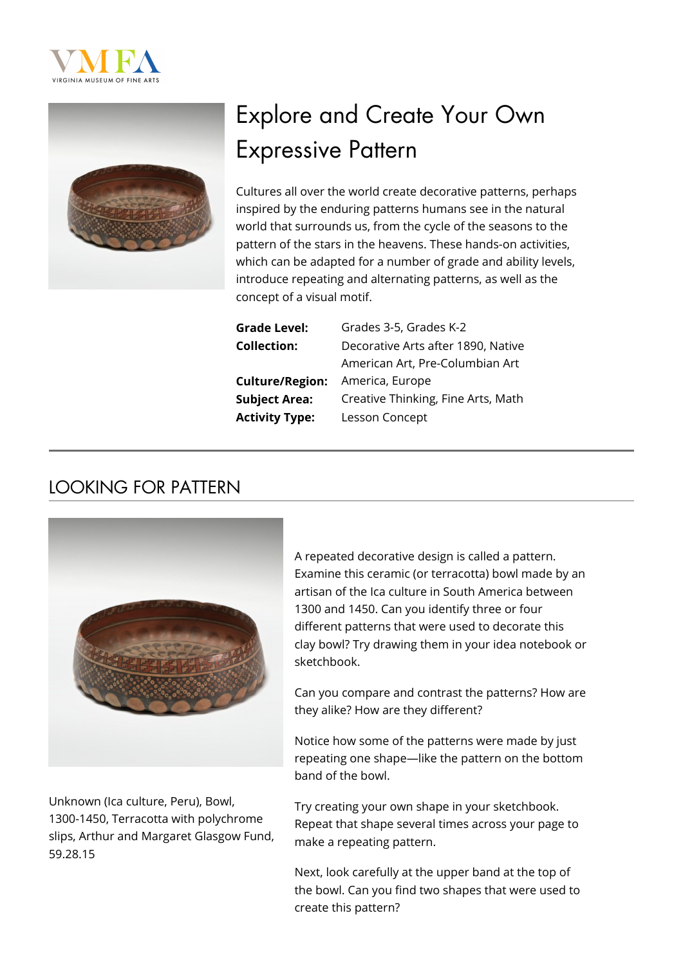



# Explore and Create Your Own Expressive Pattern

Cultures all over the world create decorative patterns, perhaps inspired by the enduring patterns humans see in the natural world that surrounds us, from the cycle of the seasons to the pattern of the stars in the heavens. These hands-on activities, which can be adapted for a number of grade and ability levels, introduce repeating and alternating patterns, as well as the concept of a visual motif.

| <b>Grade Level:</b>    | Grade |
|------------------------|-------|
| <b>Collection:</b>     | Decor |
|                        | Amer  |
| <b>Culture/Region:</b> | Amer  |
| <b>Subject Area:</b>   | Creat |
| <b>Activity Type:</b>  | Lesso |

es 3-5, Grades K-2 rative Arts after 1890, Native ican Art, Pre-Columbian Art **ica, Europe** ive Thinking, Fine Arts, Math **An Concept** 

### LOOKING FOR PATTERN



Unknown (Ica culture, Peru), Bowl, 1300-1450, Terracotta with polychrome slips, Arthur and Margaret Glasgow Fund, 59.28.15

A repeated decorative design is called a pattern. Examine this ceramic (or terracotta) bowl made by an artisan of the Ica culture in South America between 1300 and 1450. Can you identify three or four different patterns that were used to decorate this clay bowl? Try drawing them in your idea notebook or sketchbook.

Can you compare and contrast the patterns? How are they alike? How are they different?

Notice how some of the patterns were made by just repeating one shape—like the pattern on the bottom band of the bowl.

Try creating your own shape in your sketchbook. Repeat that shape several times across your page to make a repeating pattern.

Next, look carefully at the upper band at the top of the bowl. Can you find two shapes that were used to create this pattern?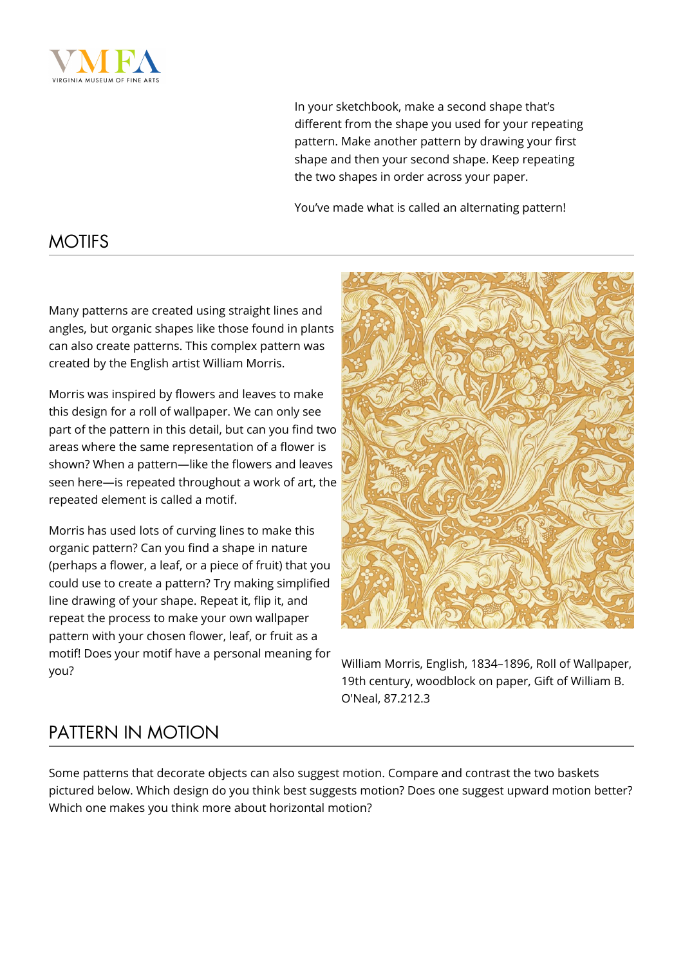

In your sketchbook, make a second shape that's different from the shape you used for your repeating pattern. Make another pattern by drawing your first shape and then your second shape. Keep repeating the two shapes in order across your paper.

You've made what is called an alternating pattern!

#### **MOTIFS**

Many patterns are created using straight lines and angles, but organic shapes like those found in plants can also create patterns. This complex pattern was created by the English artist William Morris.

Morris was inspired by flowers and leaves to make this design for a roll of wallpaper. We can only see part of the pattern in this detail, but can you find two areas where the same representation of a flower is shown? When a pattern—like the flowers and leaves seen here—is repeated throughout a work of art, the repeated element is called a motif.

Morris has used lots of curving lines to make this organic pattern? Can you find a shape in nature (perhaps a flower, a leaf, or a piece of fruit) that you could use to create a pattern? Try making simplified line drawing of your shape. Repeat it, flip it, and repeat the process to make your own wallpaper pattern with your chosen flower, leaf, or fruit as a motif! Does your motif have a personal meaning for



William Morris, English, 1834–1896, Roll of Wallpaper,<br>you? 19th century, woodblock on paper, Gift of William B. O'Neal, 87.212.3

## PATTERN IN MOTION

Some patterns that decorate objects can also suggest motion. Compare and contrast the two baskets pictured below. Which design do you think best suggests motion? Does one suggest upward motion better? Which one makes you think more about horizontal motion?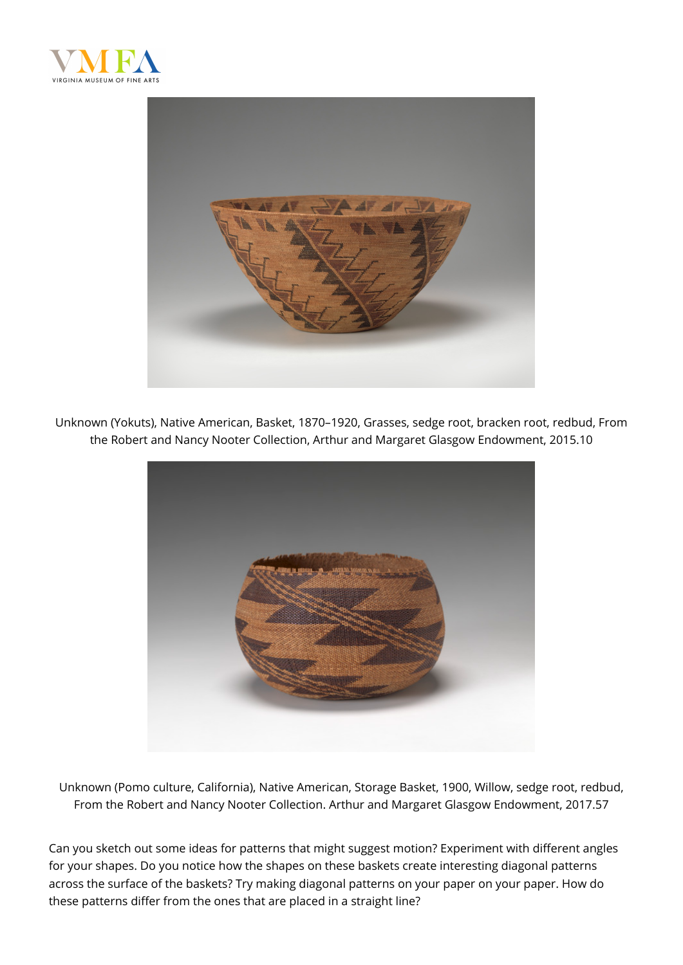



Unknown (Yokuts), Native American, Basket, 1870–1920, Grasses, sedge root, bracken root, redbud, From the Robert and Nancy Nooter Collection, Arthur and Margaret Glasgow Endowment, 2015.10



Unknown (Pomo culture, California), Native American, Storage Basket, 1900, Willow, sedge root, redbud, From the Robert and Nancy Nooter Collection. Arthur and Margaret Glasgow Endowment, 2017.57

Can you sketch out some ideas for patterns that might suggest motion? Experiment with different angles for your shapes. Do you notice how the shapes on these baskets create interesting diagonal patterns across the surface of the baskets? Try making diagonal patterns on your paper on your paper. How do these patterns differ from the ones that are placed in a straight line?